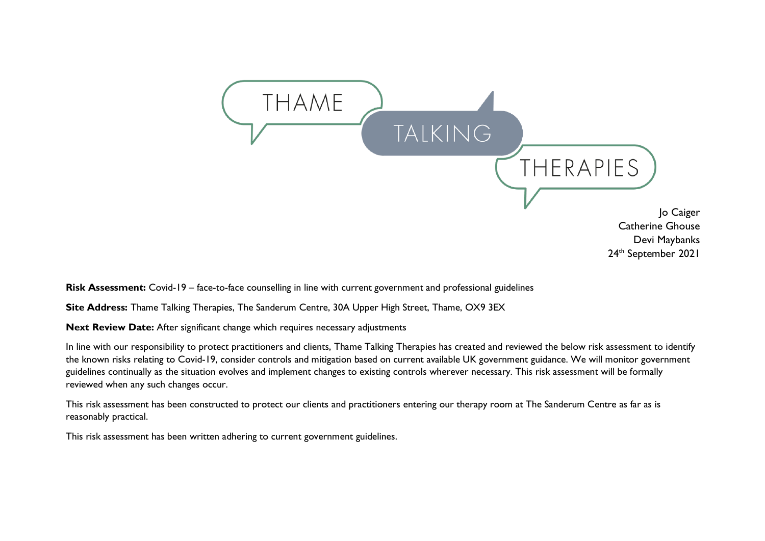

**Risk Assessment:** Covid-19 – face-to-face counselling in line with current government and professional guidelines

**Site Address:** Thame Talking Therapies, The Sanderum Centre, 30A Upper High Street, Thame, OX9 3EX

**Next Review Date:** After significant change which requires necessary adjustments

In line with our responsibility to protect practitioners and clients, Thame Talking Therapies has created and reviewed the below risk assessment to identify the known risks relating to Covid-19, consider controls and mitigation based on current available UK government guidance. We will monitor government guidelines continually as the situation evolves and implement changes to existing controls wherever necessary. This risk assessment will be formally reviewed when any such changes occur.

This risk assessment has been constructed to protect our clients and practitioners entering our therapy room at The Sanderum Centre as far as is reasonably practical.

This risk assessment has been written adhering to current government guidelines.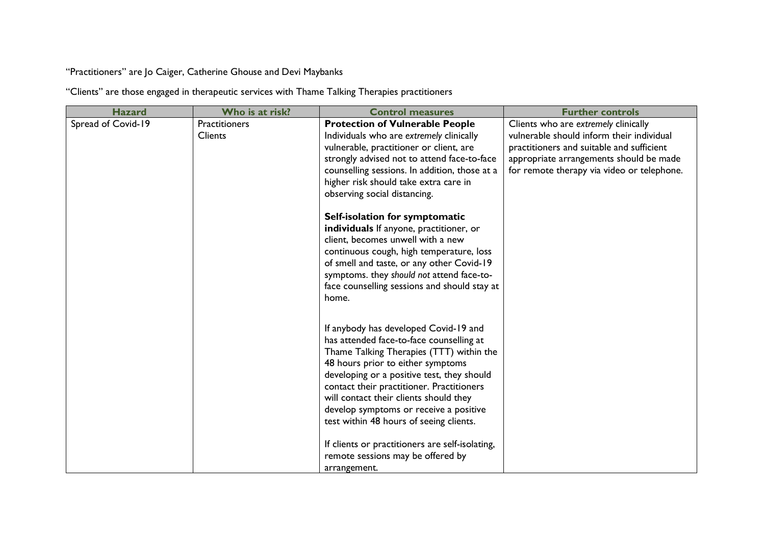"Practitioners" are Jo Caiger, Catherine Ghouse and Devi Maybanks

"Clients" are those engaged in therapeutic services with Thame Talking Therapies practitioners

| <b>Hazard</b>      | Who is at risk?      | <b>Control measures</b>                                                                 | <b>Further controls</b>                    |
|--------------------|----------------------|-----------------------------------------------------------------------------------------|--------------------------------------------|
| Spread of Covid-19 | <b>Practitioners</b> | <b>Protection of Vulnerable People</b>                                                  | Clients who are extremely clinically       |
|                    | <b>Clients</b>       | Individuals who are extremely clinically                                                | vulnerable should inform their individual  |
|                    |                      | vulnerable, practitioner or client, are                                                 | practitioners and suitable and sufficient  |
|                    |                      | strongly advised not to attend face-to-face                                             | appropriate arrangements should be made    |
|                    |                      | counselling sessions. In addition, those at a                                           | for remote therapy via video or telephone. |
|                    |                      | higher risk should take extra care in                                                   |                                            |
|                    |                      | observing social distancing.                                                            |                                            |
|                    |                      | Self-isolation for symptomatic                                                          |                                            |
|                    |                      | individuals If anyone, practitioner, or                                                 |                                            |
|                    |                      | client, becomes unwell with a new                                                       |                                            |
|                    |                      | continuous cough, high temperature, loss                                                |                                            |
|                    |                      | of smell and taste, or any other Covid-19                                               |                                            |
|                    |                      | symptoms. they should not attend face-to-                                               |                                            |
|                    |                      | face counselling sessions and should stay at                                            |                                            |
|                    |                      | home.                                                                                   |                                            |
|                    |                      |                                                                                         |                                            |
|                    |                      | If anybody has developed Covid-19 and                                                   |                                            |
|                    |                      | has attended face-to-face counselling at                                                |                                            |
|                    |                      | Thame Talking Therapies (TTT) within the                                                |                                            |
|                    |                      | 48 hours prior to either symptoms                                                       |                                            |
|                    |                      | developing or a positive test, they should<br>contact their practitioner. Practitioners |                                            |
|                    |                      | will contact their clients should they                                                  |                                            |
|                    |                      | develop symptoms or receive a positive                                                  |                                            |
|                    |                      | test within 48 hours of seeing clients.                                                 |                                            |
|                    |                      |                                                                                         |                                            |
|                    |                      | If clients or practitioners are self-isolating,                                         |                                            |
|                    |                      | remote sessions may be offered by                                                       |                                            |
|                    |                      | arrangement.                                                                            |                                            |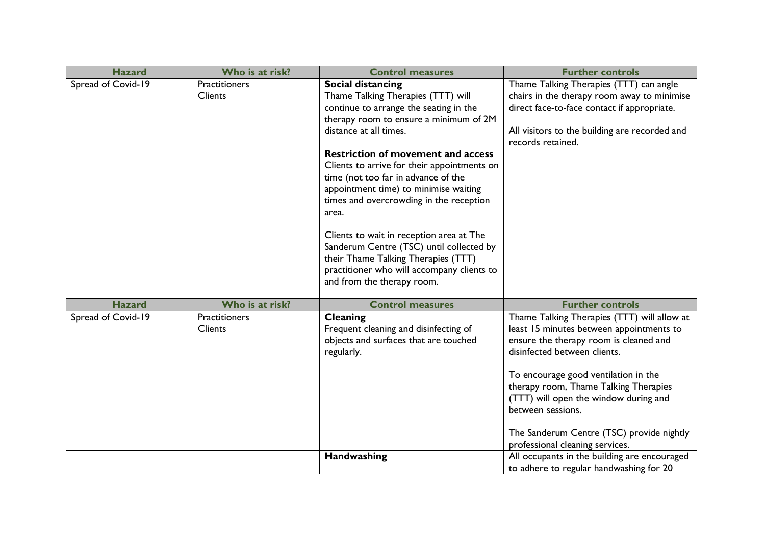| <b>Hazard</b>      | Who is at risk?      | <b>Control measures</b>                     | <b>Further controls</b>                                                       |
|--------------------|----------------------|---------------------------------------------|-------------------------------------------------------------------------------|
| Spread of Covid-19 | <b>Practitioners</b> | Social distancing                           | Thame Talking Therapies (TTT) can angle                                       |
|                    | Clients              | Thame Talking Therapies (TTT) will          | chairs in the therapy room away to minimise                                   |
|                    |                      | continue to arrange the seating in the      | direct face-to-face contact if appropriate.                                   |
|                    |                      | therapy room to ensure a minimum of 2M      |                                                                               |
|                    |                      | distance at all times.                      | All visitors to the building are recorded and<br>records retained.            |
|                    |                      | <b>Restriction of movement and access</b>   |                                                                               |
|                    |                      | Clients to arrive for their appointments on |                                                                               |
|                    |                      | time (not too far in advance of the         |                                                                               |
|                    |                      | appointment time) to minimise waiting       |                                                                               |
|                    |                      | times and overcrowding in the reception     |                                                                               |
|                    |                      | area.                                       |                                                                               |
|                    |                      | Clients to wait in reception area at The    |                                                                               |
|                    |                      | Sanderum Centre (TSC) until collected by    |                                                                               |
|                    |                      | their Thame Talking Therapies (TTT)         |                                                                               |
|                    |                      | practitioner who will accompany clients to  |                                                                               |
|                    |                      | and from the therapy room.                  |                                                                               |
|                    |                      |                                             |                                                                               |
| <b>Hazard</b>      | Who is at risk?      | <b>Control measures</b>                     | <b>Further controls</b>                                                       |
| Spread of Covid-19 | Practitioners        | Cleaning                                    | Thame Talking Therapies (TTT) will allow at                                   |
|                    | Clients              | Frequent cleaning and disinfecting of       | least 15 minutes between appointments to                                      |
|                    |                      | objects and surfaces that are touched       | ensure the therapy room is cleaned and                                        |
|                    |                      | regularly.                                  | disinfected between clients.                                                  |
|                    |                      |                                             |                                                                               |
|                    |                      |                                             | To encourage good ventilation in the<br>therapy room, Thame Talking Therapies |
|                    |                      |                                             | (TTT) will open the window during and                                         |
|                    |                      |                                             | between sessions.                                                             |
|                    |                      |                                             |                                                                               |
|                    |                      |                                             | The Sanderum Centre (TSC) provide nightly                                     |
|                    |                      |                                             | professional cleaning services.                                               |
|                    |                      | Handwashing                                 | All occupants in the building are encouraged                                  |
|                    |                      |                                             | to adhere to regular handwashing for 20                                       |